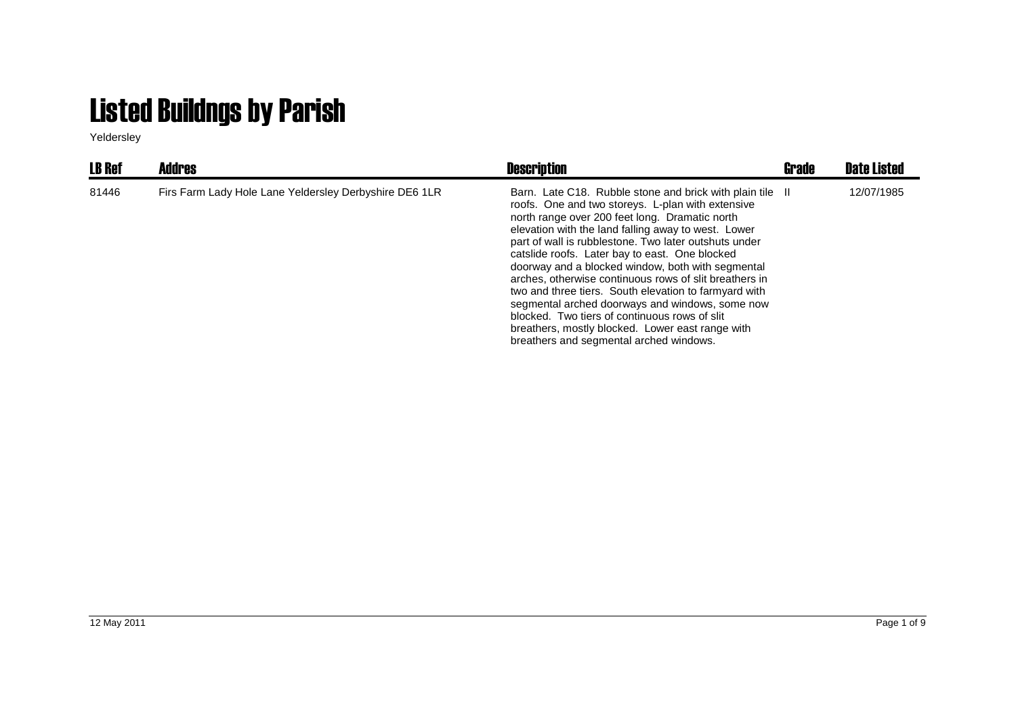## Listed Buildngs by Parish

Yeldersley

| <b>LB Ref</b> | <b>Addres</b>                                          | <b>Description</b>                                                                                                                                                                                                                                                                                                                                                                                                                                                                                                                                                                                                                                                                                            | Grade | Date Listed |
|---------------|--------------------------------------------------------|---------------------------------------------------------------------------------------------------------------------------------------------------------------------------------------------------------------------------------------------------------------------------------------------------------------------------------------------------------------------------------------------------------------------------------------------------------------------------------------------------------------------------------------------------------------------------------------------------------------------------------------------------------------------------------------------------------------|-------|-------------|
| 81446         | Firs Farm Lady Hole Lane Yeldersley Derbyshire DE6 1LR | Barn. Late C18. Rubble stone and brick with plain tile II<br>roofs. One and two storeys. L-plan with extensive<br>north range over 200 feet long. Dramatic north<br>elevation with the land falling away to west. Lower<br>part of wall is rubblestone. Two later outshuts under<br>catslide roofs. Later bay to east. One blocked<br>doorway and a blocked window, both with segmental<br>arches, otherwise continuous rows of slit breathers in<br>two and three tiers. South elevation to farmyard with<br>segmental arched doorways and windows, some now<br>blocked. Two tiers of continuous rows of slit<br>breathers, mostly blocked. Lower east range with<br>breathers and segmental arched windows. |       | 12/07/1985  |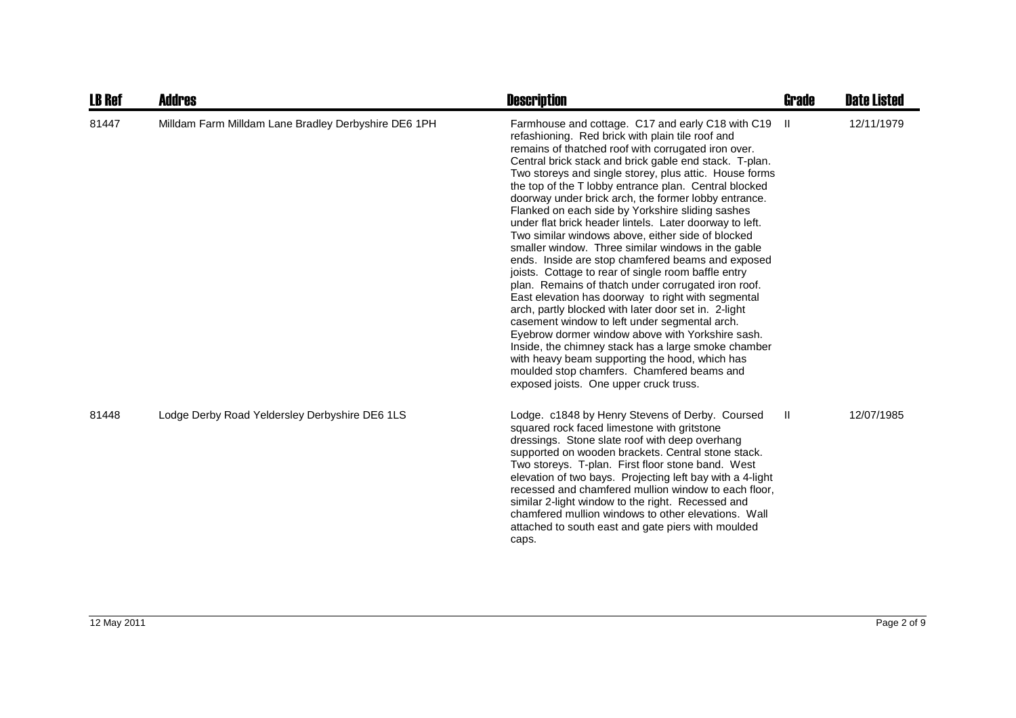| <b>LB Ref</b> | Addres                                               | <b>Description</b>                                                                                                                                                                                                                                                                                                                                                                                                                                                                                                                                                                                                                                                                                                                                                                                                                                                                                                                                                                                                                                                                                                                                                                                                 | <b>Grade</b> | <b>Date Listed</b> |
|---------------|------------------------------------------------------|--------------------------------------------------------------------------------------------------------------------------------------------------------------------------------------------------------------------------------------------------------------------------------------------------------------------------------------------------------------------------------------------------------------------------------------------------------------------------------------------------------------------------------------------------------------------------------------------------------------------------------------------------------------------------------------------------------------------------------------------------------------------------------------------------------------------------------------------------------------------------------------------------------------------------------------------------------------------------------------------------------------------------------------------------------------------------------------------------------------------------------------------------------------------------------------------------------------------|--------------|--------------------|
| 81447         | Milldam Farm Milldam Lane Bradley Derbyshire DE6 1PH | Farmhouse and cottage. C17 and early C18 with C19<br>refashioning. Red brick with plain tile roof and<br>remains of thatched roof with corrugated iron over.<br>Central brick stack and brick gable end stack. T-plan.<br>Two storeys and single storey, plus attic. House forms<br>the top of the T lobby entrance plan. Central blocked<br>doorway under brick arch, the former lobby entrance.<br>Flanked on each side by Yorkshire sliding sashes<br>under flat brick header lintels. Later doorway to left.<br>Two similar windows above, either side of blocked<br>smaller window. Three similar windows in the gable<br>ends. Inside are stop chamfered beams and exposed<br>joists. Cottage to rear of single room baffle entry<br>plan. Remains of thatch under corrugated iron roof.<br>East elevation has doorway to right with segmental<br>arch, partly blocked with later door set in. 2-light<br>casement window to left under segmental arch.<br>Eyebrow dormer window above with Yorkshire sash.<br>Inside, the chimney stack has a large smoke chamber<br>with heavy beam supporting the hood, which has<br>moulded stop chamfers. Chamfered beams and<br>exposed joists. One upper cruck truss. | -II.         | 12/11/1979         |
| 81448         | Lodge Derby Road Yeldersley Derbyshire DE6 1LS       | Lodge. c1848 by Henry Stevens of Derby. Coursed<br>squared rock faced limestone with gritstone<br>dressings. Stone slate roof with deep overhang<br>supported on wooden brackets. Central stone stack.<br>Two storeys. T-plan. First floor stone band. West<br>elevation of two bays. Projecting left bay with a 4-light<br>recessed and chamfered mullion window to each floor,<br>similar 2-light window to the right. Recessed and<br>chamfered mullion windows to other elevations. Wall<br>attached to south east and gate piers with moulded<br>caps.                                                                                                                                                                                                                                                                                                                                                                                                                                                                                                                                                                                                                                                        | $\mathbf{H}$ | 12/07/1985         |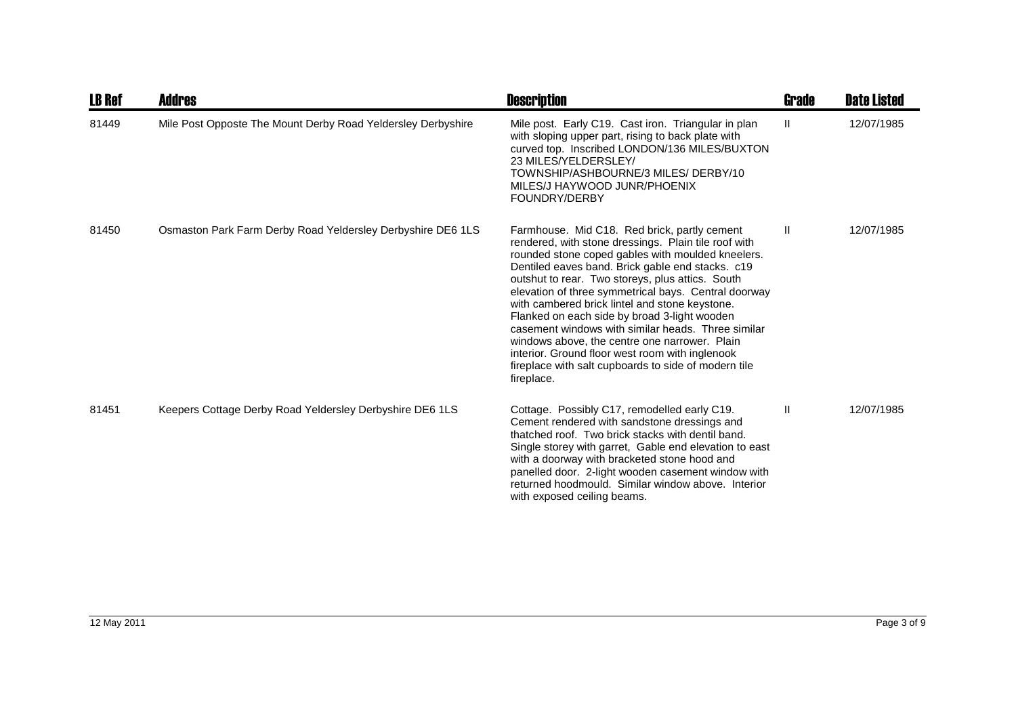| <b>LB Ref</b> | Addres                                                       | <b>Description</b>                                                                                                                                                                                                                                                                                                                                                                                                                                                                                                                                                                                                                                          | Grade        | <b>Date Listed</b> |
|---------------|--------------------------------------------------------------|-------------------------------------------------------------------------------------------------------------------------------------------------------------------------------------------------------------------------------------------------------------------------------------------------------------------------------------------------------------------------------------------------------------------------------------------------------------------------------------------------------------------------------------------------------------------------------------------------------------------------------------------------------------|--------------|--------------------|
| 81449         | Mile Post Opposte The Mount Derby Road Yeldersley Derbyshire | Mile post. Early C19. Cast iron. Triangular in plan<br>with sloping upper part, rising to back plate with<br>curved top. Inscribed LONDON/136 MILES/BUXTON<br>23 MILES/YELDERSLEY/<br>TOWNSHIP/ASHBOURNE/3 MILES/ DERBY/10<br>MILES/J HAYWOOD JUNR/PHOENIX<br>FOUNDRY/DERBY                                                                                                                                                                                                                                                                                                                                                                                 | $\mathbf{H}$ | 12/07/1985         |
| 81450         | Osmaston Park Farm Derby Road Yeldersley Derbyshire DE6 1LS  | Farmhouse. Mid C18. Red brick, partly cement<br>rendered, with stone dressings. Plain tile roof with<br>rounded stone coped gables with moulded kneelers.<br>Dentiled eaves band. Brick gable end stacks. c19<br>outshut to rear. Two storeys, plus attics. South<br>elevation of three symmetrical bays. Central doorway<br>with cambered brick lintel and stone keystone.<br>Flanked on each side by broad 3-light wooden<br>casement windows with similar heads. Three similar<br>windows above, the centre one narrower. Plain<br>interior. Ground floor west room with inglenook<br>fireplace with salt cupboards to side of modern tile<br>fireplace. | $\mathbf{H}$ | 12/07/1985         |
| 81451         | Keepers Cottage Derby Road Yeldersley Derbyshire DE6 1LS     | Cottage. Possibly C17, remodelled early C19.<br>Cement rendered with sandstone dressings and<br>thatched roof. Two brick stacks with dentil band.<br>Single storey with garret, Gable end elevation to east<br>with a doorway with bracketed stone hood and<br>panelled door. 2-light wooden casement window with<br>returned hoodmould. Similar window above. Interior<br>with exposed ceiling beams.                                                                                                                                                                                                                                                      | Ш            | 12/07/1985         |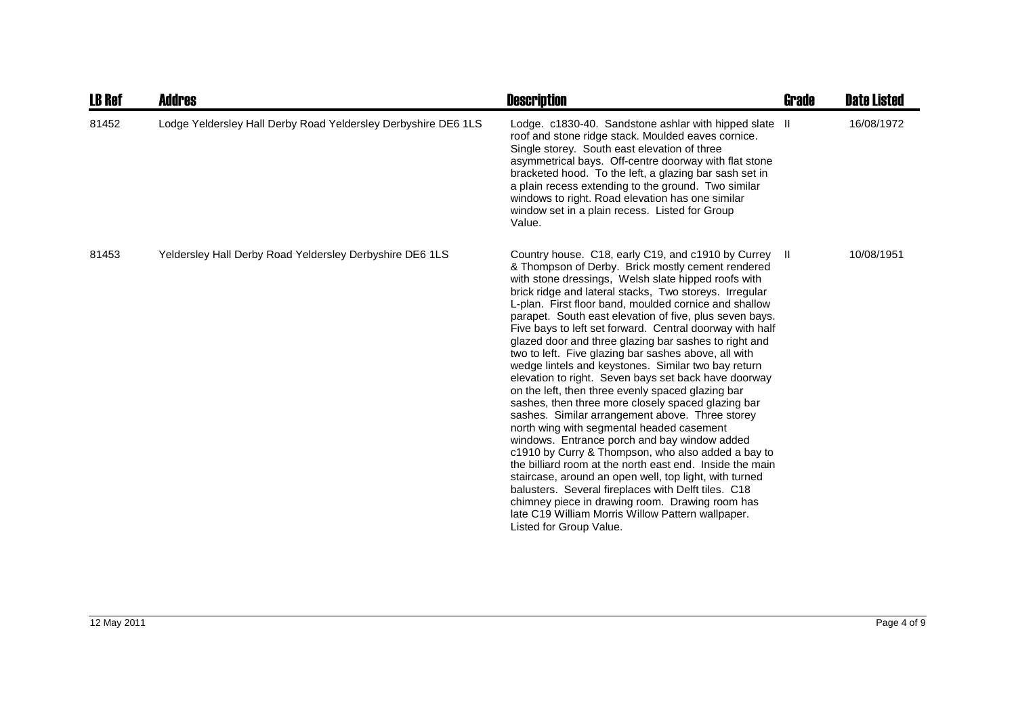| <b>LB Ref</b> | Addres                                                         | <b>Description</b>                                                                                                                                                                                                                                                                                                                                                                                                                                                                                                                                                                                                                                                                                                                                                                                                                                                                                                                                                                                                                                                                                                                                                                                                                                                           | <b>Grade</b> | <b>Date Listed</b> |
|---------------|----------------------------------------------------------------|------------------------------------------------------------------------------------------------------------------------------------------------------------------------------------------------------------------------------------------------------------------------------------------------------------------------------------------------------------------------------------------------------------------------------------------------------------------------------------------------------------------------------------------------------------------------------------------------------------------------------------------------------------------------------------------------------------------------------------------------------------------------------------------------------------------------------------------------------------------------------------------------------------------------------------------------------------------------------------------------------------------------------------------------------------------------------------------------------------------------------------------------------------------------------------------------------------------------------------------------------------------------------|--------------|--------------------|
| 81452         | Lodge Yeldersley Hall Derby Road Yeldersley Derbyshire DE6 1LS | Lodge. c1830-40. Sandstone ashlar with hipped slate II<br>roof and stone ridge stack. Moulded eaves cornice.<br>Single storey. South east elevation of three<br>asymmetrical bays. Off-centre doorway with flat stone<br>bracketed hood. To the left, a glazing bar sash set in<br>a plain recess extending to the ground. Two similar<br>windows to right. Road elevation has one similar<br>window set in a plain recess. Listed for Group<br>Value.                                                                                                                                                                                                                                                                                                                                                                                                                                                                                                                                                                                                                                                                                                                                                                                                                       |              | 16/08/1972         |
| 81453         | Yeldersley Hall Derby Road Yeldersley Derbyshire DE6 1LS       | Country house. C18, early C19, and c1910 by Currey II<br>& Thompson of Derby. Brick mostly cement rendered<br>with stone dressings, Welsh slate hipped roofs with<br>brick ridge and lateral stacks, Two storeys. Irregular<br>L-plan. First floor band, moulded cornice and shallow<br>parapet. South east elevation of five, plus seven bays.<br>Five bays to left set forward. Central doorway with half<br>glazed door and three glazing bar sashes to right and<br>two to left. Five glazing bar sashes above, all with<br>wedge lintels and keystones. Similar two bay return<br>elevation to right. Seven bays set back have doorway<br>on the left, then three evenly spaced glazing bar<br>sashes, then three more closely spaced glazing bar<br>sashes. Similar arrangement above. Three storey<br>north wing with segmental headed casement<br>windows. Entrance porch and bay window added<br>c1910 by Curry & Thompson, who also added a bay to<br>the billiard room at the north east end. Inside the main<br>staircase, around an open well, top light, with turned<br>balusters. Several fireplaces with Delft tiles. C18<br>chimney piece in drawing room. Drawing room has<br>late C19 William Morris Willow Pattern wallpaper.<br>Listed for Group Value. |              | 10/08/1951         |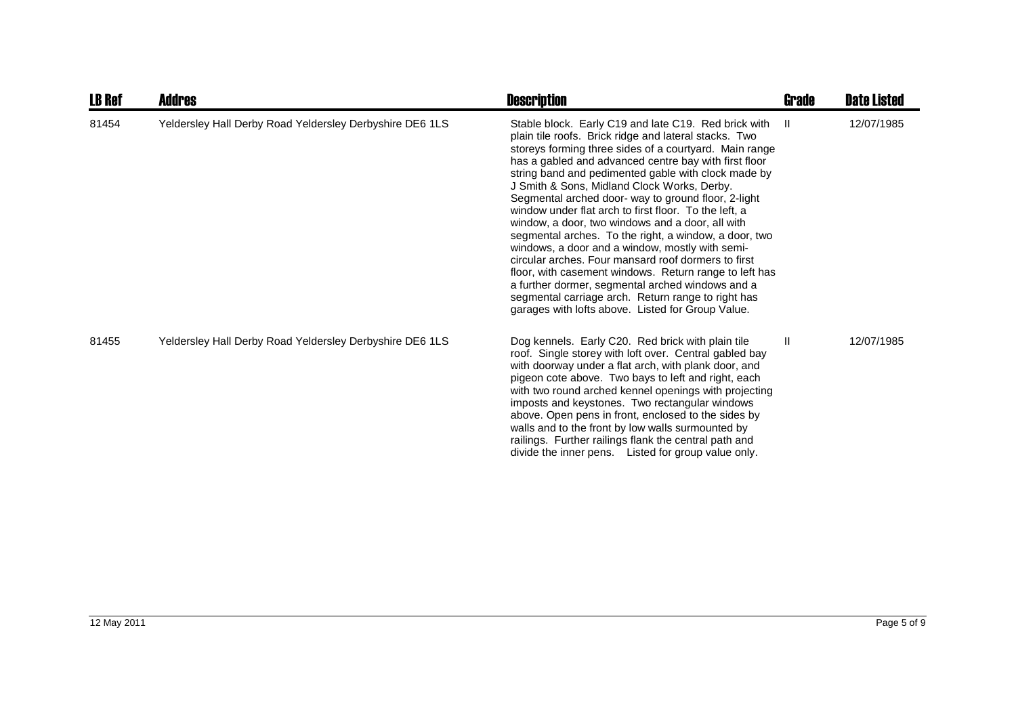| <b>LB Ref</b> | <b>Addres</b>                                            | <b>Description</b>                                                                                                                                                                                                                                                                                                                                                                                                                                                                                                                                                                                                                                                                                                                                                                                                                                                                                     | <b>Grade</b> | <b>Date Listed</b> |
|---------------|----------------------------------------------------------|--------------------------------------------------------------------------------------------------------------------------------------------------------------------------------------------------------------------------------------------------------------------------------------------------------------------------------------------------------------------------------------------------------------------------------------------------------------------------------------------------------------------------------------------------------------------------------------------------------------------------------------------------------------------------------------------------------------------------------------------------------------------------------------------------------------------------------------------------------------------------------------------------------|--------------|--------------------|
| 81454         | Yeldersley Hall Derby Road Yeldersley Derbyshire DE6 1LS | Stable block. Early C19 and late C19. Red brick with<br>plain tile roofs. Brick ridge and lateral stacks. Two<br>storeys forming three sides of a courtyard. Main range<br>has a gabled and advanced centre bay with first floor<br>string band and pedimented gable with clock made by<br>J Smith & Sons, Midland Clock Works, Derby.<br>Segmental arched door- way to ground floor, 2-light<br>window under flat arch to first floor. To the left, a<br>window, a door, two windows and a door, all with<br>segmental arches. To the right, a window, a door, two<br>windows, a door and a window, mostly with semi-<br>circular arches. Four mansard roof dormers to first<br>floor, with casement windows. Return range to left has<br>a further dormer, segmental arched windows and a<br>segmental carriage arch. Return range to right has<br>garages with lofts above. Listed for Group Value. | $\mathbf{H}$ | 12/07/1985         |
| 81455         | Yeldersley Hall Derby Road Yeldersley Derbyshire DE6 1LS | Dog kennels. Early C20. Red brick with plain tile<br>roof. Single storey with loft over. Central gabled bay<br>with doorway under a flat arch, with plank door, and<br>pigeon cote above. Two bays to left and right, each<br>with two round arched kennel openings with projecting<br>imposts and keystones. Two rectangular windows<br>above. Open pens in front, enclosed to the sides by<br>walls and to the front by low walls surmounted by<br>railings. Further railings flank the central path and<br>divide the inner pens. Listed for group value only.                                                                                                                                                                                                                                                                                                                                      | $\mathbf{H}$ | 12/07/1985         |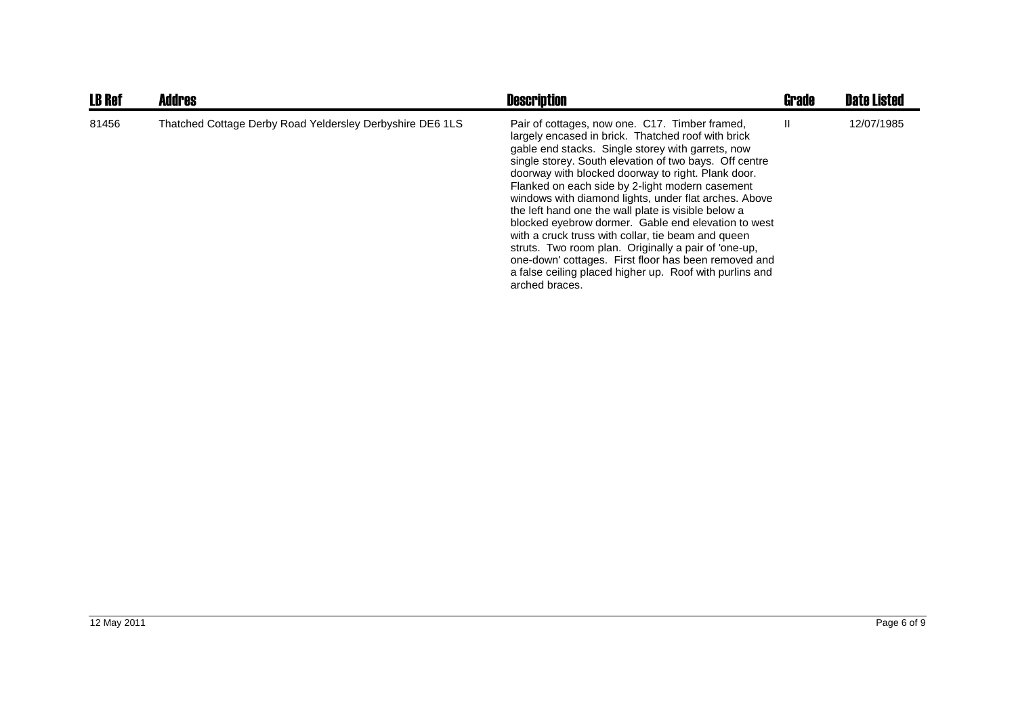| <b>LB Ref</b> | <b>Addres</b>                                             | <b>Description</b>                                                                                                                                                                                                                                                                                                                                                                                                                                                                                                                                                                                                                                                                                                                                     | <b>Grade</b> | <b>Date Listed</b> |
|---------------|-----------------------------------------------------------|--------------------------------------------------------------------------------------------------------------------------------------------------------------------------------------------------------------------------------------------------------------------------------------------------------------------------------------------------------------------------------------------------------------------------------------------------------------------------------------------------------------------------------------------------------------------------------------------------------------------------------------------------------------------------------------------------------------------------------------------------------|--------------|--------------------|
| 81456         | Thatched Cottage Derby Road Yeldersley Derbyshire DE6 1LS | Pair of cottages, now one. C17. Timber framed,<br>largely encased in brick. Thatched roof with brick<br>gable end stacks. Single storey with garrets, now<br>single storey. South elevation of two bays. Off centre<br>doorway with blocked doorway to right. Plank door.<br>Flanked on each side by 2-light modern casement<br>windows with diamond lights, under flat arches. Above<br>the left hand one the wall plate is visible below a<br>blocked eyebrow dormer. Gable end elevation to west<br>with a cruck truss with collar, tie beam and queen<br>struts. Two room plan. Originally a pair of 'one-up,<br>one-down' cottages. First floor has been removed and<br>a false ceiling placed higher up. Roof with purlins and<br>arched braces. | H.           | 12/07/1985         |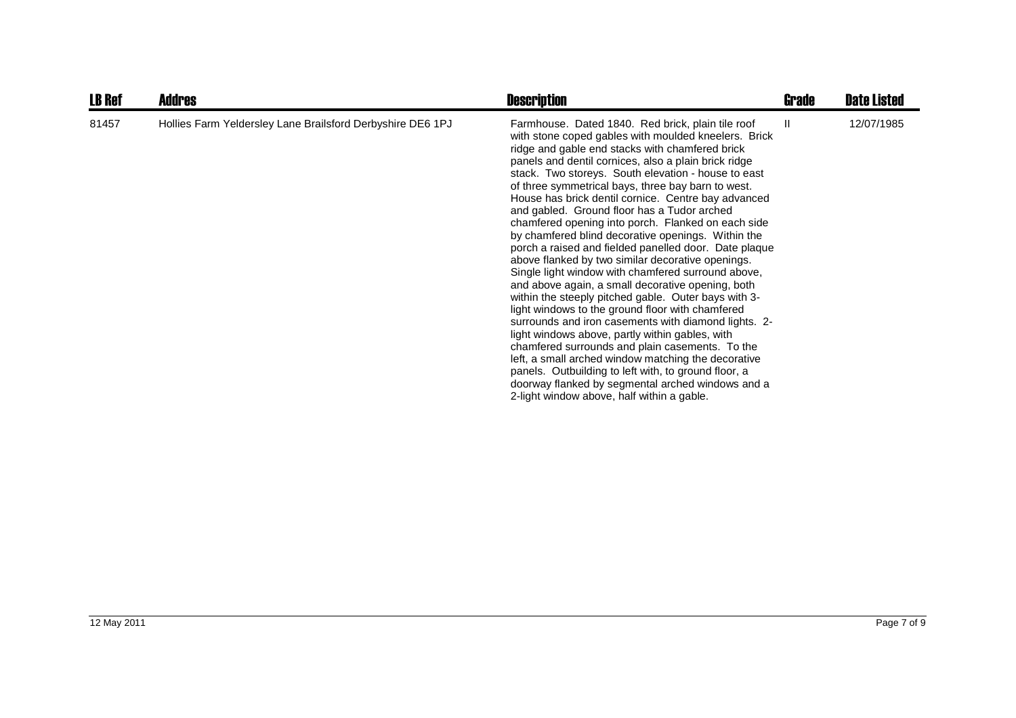| <b>LB Ref</b> | <b>Addres</b>                                              | <b>Description</b>                                                                                                                                                                                                                                                                                                                                                                                                                                                                                                                                                                                                                                                                                                                                                                                                                                                                                                                                                                                                                                                                                                                                                                                                                                                       | Grade | <b>Date Listed</b> |
|---------------|------------------------------------------------------------|--------------------------------------------------------------------------------------------------------------------------------------------------------------------------------------------------------------------------------------------------------------------------------------------------------------------------------------------------------------------------------------------------------------------------------------------------------------------------------------------------------------------------------------------------------------------------------------------------------------------------------------------------------------------------------------------------------------------------------------------------------------------------------------------------------------------------------------------------------------------------------------------------------------------------------------------------------------------------------------------------------------------------------------------------------------------------------------------------------------------------------------------------------------------------------------------------------------------------------------------------------------------------|-------|--------------------|
| 81457         | Hollies Farm Yeldersley Lane Brailsford Derbyshire DE6 1PJ | Farmhouse. Dated 1840. Red brick, plain tile roof<br>with stone coped gables with moulded kneelers. Brick<br>ridge and gable end stacks with chamfered brick<br>panels and dentil cornices, also a plain brick ridge<br>stack. Two storeys. South elevation - house to east<br>of three symmetrical bays, three bay barn to west.<br>House has brick dentil cornice. Centre bay advanced<br>and gabled. Ground floor has a Tudor arched<br>chamfered opening into porch. Flanked on each side<br>by chamfered blind decorative openings. Within the<br>porch a raised and fielded panelled door. Date plaque<br>above flanked by two similar decorative openings.<br>Single light window with chamfered surround above,<br>and above again, a small decorative opening, both<br>within the steeply pitched gable. Outer bays with 3-<br>light windows to the ground floor with chamfered<br>surrounds and iron casements with diamond lights. 2-<br>light windows above, partly within gables, with<br>chamfered surrounds and plain casements. To the<br>left, a small arched window matching the decorative<br>panels. Outbuilding to left with, to ground floor, a<br>doorway flanked by segmental arched windows and a<br>2-light window above, half within a gable. | H.    | 12/07/1985         |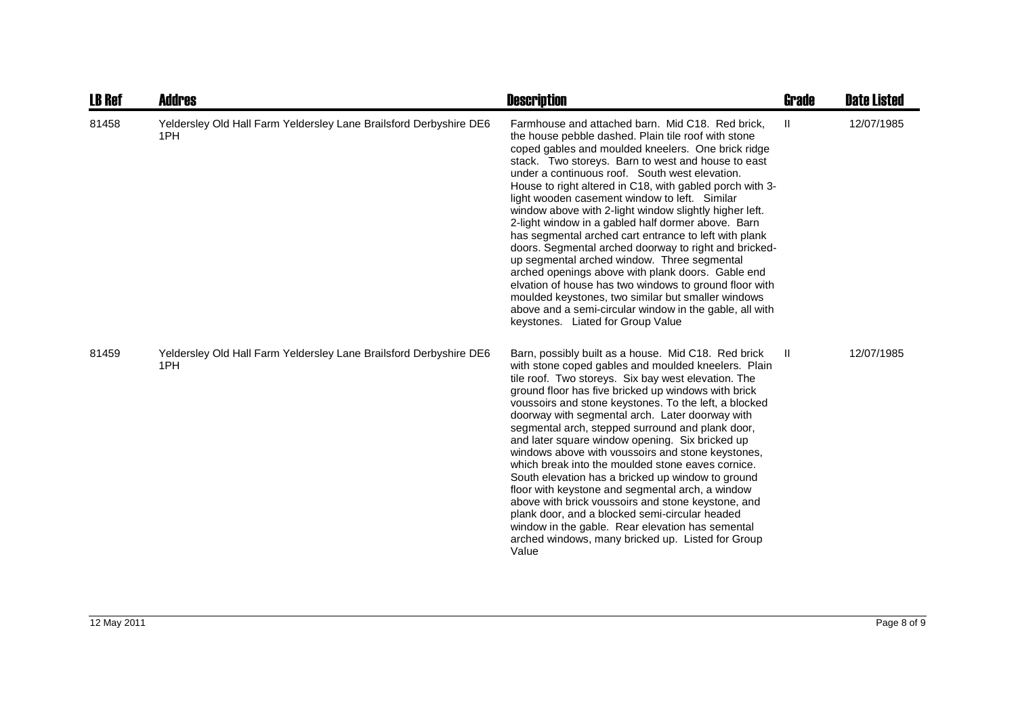| <b>LB Ref</b> | Addres                                                                    | <b>Description</b>                                                                                                                                                                                                                                                                                                                                                                                                                                                                                                                                                                                                                                                                                                                                                                                                                                                                                                                       | <b>Grade</b> | <b>Date Listed</b> |
|---------------|---------------------------------------------------------------------------|------------------------------------------------------------------------------------------------------------------------------------------------------------------------------------------------------------------------------------------------------------------------------------------------------------------------------------------------------------------------------------------------------------------------------------------------------------------------------------------------------------------------------------------------------------------------------------------------------------------------------------------------------------------------------------------------------------------------------------------------------------------------------------------------------------------------------------------------------------------------------------------------------------------------------------------|--------------|--------------------|
| 81458         | Yeldersley Old Hall Farm Yeldersley Lane Brailsford Derbyshire DE6<br>1PH | Farmhouse and attached barn. Mid C18. Red brick,<br>the house pebble dashed. Plain tile roof with stone<br>coped gables and moulded kneelers. One brick ridge<br>stack. Two storeys. Barn to west and house to east<br>under a continuous roof. South west elevation.<br>House to right altered in C18, with gabled porch with 3-<br>light wooden casement window to left. Similar<br>window above with 2-light window slightly higher left.<br>2-light window in a gabled half dormer above. Barn<br>has segmental arched cart entrance to left with plank<br>doors. Segmental arched doorway to right and bricked-<br>up segmental arched window. Three segmental<br>arched openings above with plank doors. Gable end<br>elvation of house has two windows to ground floor with<br>moulded keystones, two similar but smaller windows<br>above and a semi-circular window in the gable, all with<br>keystones. Liated for Group Value | $\mathbf{H}$ | 12/07/1985         |
| 81459         | Yeldersley Old Hall Farm Yeldersley Lane Brailsford Derbyshire DE6<br>1PH | Barn, possibly built as a house. Mid C18. Red brick<br>with stone coped gables and moulded kneelers. Plain<br>tile roof. Two storeys. Six bay west elevation. The<br>ground floor has five bricked up windows with brick<br>voussoirs and stone keystones. To the left, a blocked<br>doorway with segmental arch. Later doorway with<br>segmental arch, stepped surround and plank door,<br>and later square window opening. Six bricked up<br>windows above with voussoirs and stone keystones,<br>which break into the moulded stone eaves cornice.<br>South elevation has a bricked up window to ground<br>floor with keystone and segmental arch, a window<br>above with brick voussoirs and stone keystone, and<br>plank door, and a blocked semi-circular headed<br>window in the gable. Rear elevation has semental<br>arched windows, many bricked up. Listed for Group<br>Value                                                 | $\mathbf{I}$ | 12/07/1985         |